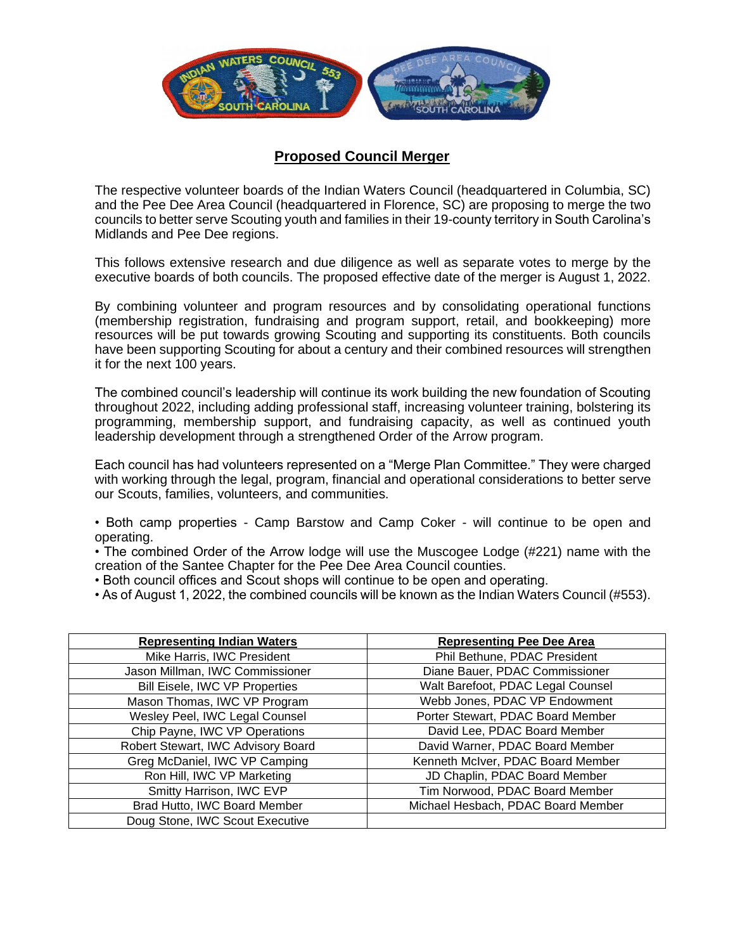

## **Proposed Council Merger**

The respective volunteer boards of the Indian Waters Council (headquartered in Columbia, SC) and the Pee Dee Area Council (headquartered in Florence, SC) are proposing to merge the two councils to better serve Scouting youth and families in their 19-county territory in South Carolina's Midlands and Pee Dee regions.

This follows extensive research and due diligence as well as separate votes to merge by the executive boards of both councils. The proposed effective date of the merger is August 1, 2022.

By combining volunteer and program resources and by consolidating operational functions (membership registration, fundraising and program support, retail, and bookkeeping) more resources will be put towards growing Scouting and supporting its constituents. Both councils have been supporting Scouting for about a century and their combined resources will strengthen it for the next 100 years.

The combined council's leadership will continue its work building the new foundation of Scouting throughout 2022, including adding professional staff, increasing volunteer training, bolstering its programming, membership support, and fundraising capacity, as well as continued youth leadership development through a strengthened Order of the Arrow program.

Each council has had volunteers represented on a "Merge Plan Committee." They were charged with working through the legal, program, financial and operational considerations to better serve our Scouts, families, volunteers, and communities.

- Both camp properties Camp Barstow and Camp Coker will continue to be open and operating.
- The combined Order of the Arrow lodge will use the Muscogee Lodge (#221) name with the creation of the Santee Chapter for the Pee Dee Area Council counties.
- Both council offices and Scout shops will continue to be open and operating.
- As of August 1, 2022, the combined councils will be known as the Indian Waters Council (#553).

| <b>Representing Indian Waters</b>  | <b>Representing Pee Dee Area</b>   |  |
|------------------------------------|------------------------------------|--|
| Mike Harris, IWC President         | Phil Bethune, PDAC President       |  |
| Jason Millman, IWC Commissioner    | Diane Bauer, PDAC Commissioner     |  |
| Bill Eisele, IWC VP Properties     | Walt Barefoot, PDAC Legal Counsel  |  |
| Mason Thomas, IWC VP Program       | Webb Jones, PDAC VP Endowment      |  |
| Wesley Peel, IWC Legal Counsel     | Porter Stewart, PDAC Board Member  |  |
| Chip Payne, IWC VP Operations      | David Lee, PDAC Board Member       |  |
| Robert Stewart, IWC Advisory Board | David Warner, PDAC Board Member    |  |
| Greg McDaniel, IWC VP Camping      | Kenneth McIver, PDAC Board Member  |  |
| Ron Hill, IWC VP Marketing         | JD Chaplin, PDAC Board Member      |  |
| Smitty Harrison, IWC EVP           | Tim Norwood, PDAC Board Member     |  |
| Brad Hutto, IWC Board Member       | Michael Hesbach, PDAC Board Member |  |
| Doug Stone, IWC Scout Executive    |                                    |  |